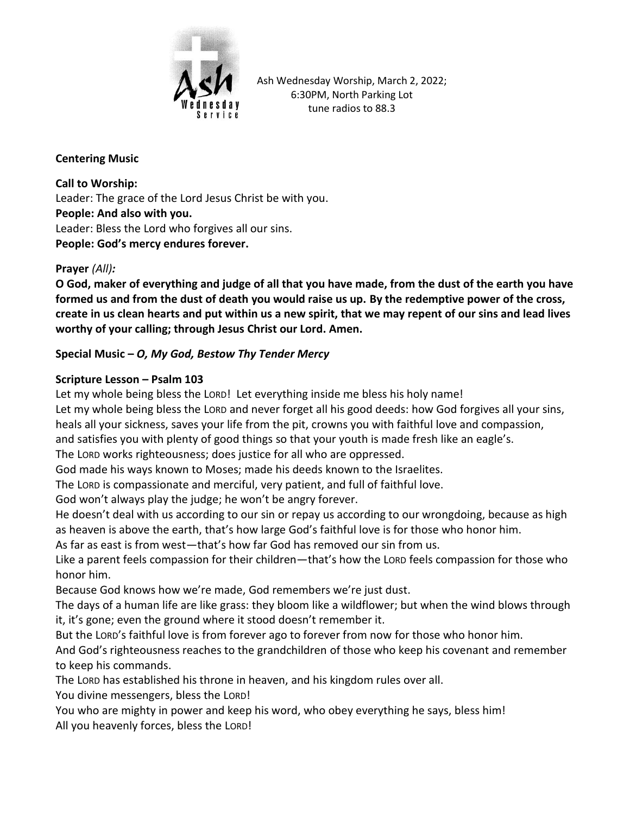

Ash Wednesday Worship, March 2, 2022; 6:30PM, North Parking Lot tune radios to 88.3

## **Centering Music**

**Call to Worship:** Leader: The grace of the Lord Jesus Christ be with you. **People: And also with you.** Leader: Bless the Lord who forgives all our sins. **People: God's mercy endures forever.**

#### **Prayer** *(All):*

**O God, maker of everything and judge of all that you have made, from the dust of the earth you have formed us and from the dust of death you would raise us up. By the redemptive power of the cross, create in us clean hearts and put within us a new spirit, that we may repent of our sins and lead lives worthy of your calling; through Jesus Christ our Lord. Amen.**

# **Special Music –** *O, My God, Bestow Thy Tender Mercy*

# **Scripture Lesson – Psalm 103**

Let my whole being bless the LORD! Let everything inside me bless his holy name!

Let my whole being bless the LORD and never forget all his good deeds: how God forgives all your sins,

heals all your sickness, saves your life from the pit, crowns you with faithful love and compassion,

and satisfies you with plenty of good things so that your youth is made fresh like an eagle's.

The LORD works righteousness; does justice for all who are oppressed.

God made his ways known to Moses; made his deeds known to the Israelites.

The LORD is compassionate and merciful, very patient, and full of faithful love.

God won't always play the judge; he won't be angry forever.

He doesn't deal with us according to our sin or repay us according to our wrongdoing, because as high as heaven is above the earth, that's how large God's faithful love is for those who honor him.

As far as east is from west—that's how far God has removed our sin from us.

Like a parent feels compassion for their children—that's how the LORD feels compassion for those who honor him.

Because God knows how we're made, God remembers we're just dust.

The days of a human life are like grass: they bloom like a wildflower; but when the wind blows through it, it's gone; even the ground where it stood doesn't remember it.

But the LORD's faithful love is from forever ago to forever from now for those who honor him.

And God's righteousness reaches to the grandchildren of those who keep his covenant and remember to keep his commands.

The LORD has established his throne in heaven, and his kingdom rules over all.

You divine messengers, bless the LORD!

You who are mighty in power and keep his word, who obey everything he says, bless him! All you heavenly forces, bless the LORD!